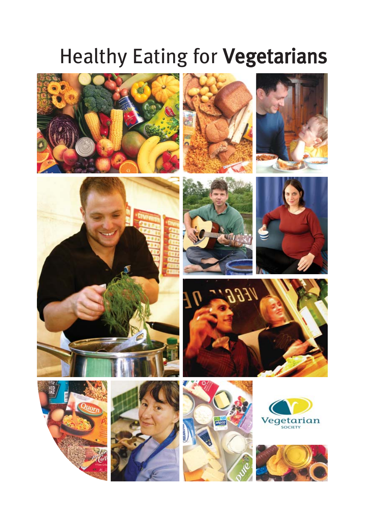# Healthy Eating for Vegetarians























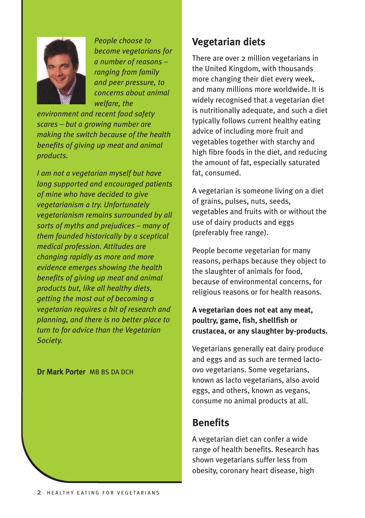

*People choose to become vegetarians for a number of reasons – ranging from family and peer pressure, to concerns about animal welfare, the*

*environment and recent food safety scares – but a growing number are making the switch because of the health benefits of giving up meat and animal products.*

*I am not a vegetarian myself but have long supported and encouraged patients of mine who have decided to give vegetarianism a try. Unfortunately vegetarianism remains surrounded by all sorts of myths and prejudices – many of them founded historically by a sceptical medical profession. Attitudes are changing rapidly as more and more evidence emerges showing the health benefits of giving up meat and animal products but, like all healthy diets, getting the most out of becoming a vegetarian requires a bit of research and planning, and there is no better place to turn to for advice than the Vegetarian Society.*

Dr Mark Porter MB BS DA DCH

# **Vegetarian diets**

There are over 2 million vegetarians in the United Kingdom, with thousands more changing their diet every week, and many millions more worldwide. It is widely recognised that a vegetarian diet is nutritionally adequate, and such a diet typically follows current healthy eating advice of including more fruit and vegetables together with starchy and high fibre foods in the diet, and reducing the amount of fat, especially saturated fat, consumed.

A vegetarian is someone living on a diet of grains, pulses, nuts, seeds, vegetables and fruits with or without the use of dairy products and eggs (preferably free range).

People become vegetarian for many reasons, perhaps because they object to the slaughter of animals for food, because of environmental concerns, for religious reasons or for health reasons.

## **A vegetarian does not eat any meat, poultry, game, fish, shellfish or crustacea, or any slaughter by-products.**

Vegetarians generally eat dairy produce and eggs and as such are termed lactoovo vegetarians. Some vegetarians, known as lacto vegetarians, also avoid eggs, and others, known as vegans, consume no animal products at all.

# **Benefits**

A vegetarian diet can confer a wide range of health benefits. Research has shown vegetarians suffer less from obesity, coronary heart disease, high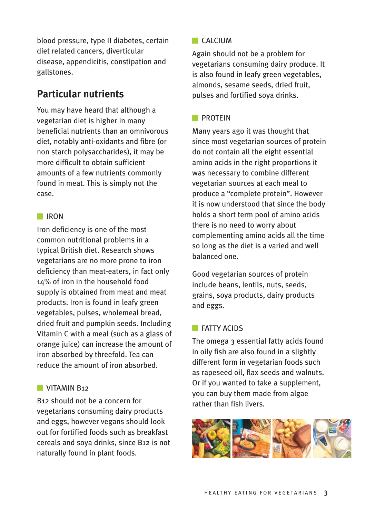blood pressure, type II diabetes, certain diet related cancers, diverticular disease, appendicitis, constipation and gallstones.

# **Particular nutrients**

You may have heard that although a vegetarian diet is higher in many beneficial nutrients than an omnivorous diet, notably anti-oxidants and fibre (or non starch polysaccharides), it may be more difficult to obtain sufficient amounts of a few nutrients commonly found in meat. This is simply not the case.

## IRON

Iron deficiency is one of the most common nutritional problems in a typical British diet. Research shows vegetarians are no more prone to iron deficiency than meat-eaters, in fact only 14% of iron in the household food supply is obtained from meat and meat products. Iron is found in leafy green vegetables, pulses, wholemeal bread, dried fruit and pumpkin seeds. Including Vitamin C with a meal (such as a glass of orange juice) can increase the amount of iron absorbed by threefold. Tea can reduce the amount of iron absorbed.

### **VITAMIN B12**

B12 should not be a concern for vegetarians consuming dairy products and eggs, however vegans should look out for fortified foods such as breakfast cereals and soya drinks, since B12 is not naturally found in plant foods.

## $\Box$ CALCIUM

Again should not be a problem for vegetarians consuming dairy produce. It is also found in leafy green vegetables, almonds, sesame seeds, dried fruit, pulses and fortified soya drinks.

## **PROTEIN**

Many years ago it was thought that since most vegetarian sources of protein do not contain all the eight essential amino acids in the right proportions it was necessary to combine different vegetarian sources at each meal to produce a "complete protein". However it is now understood that since the body holds a short term pool of amino acids there is no need to worry about complementing amino acids all the time so long as the diet is a varied and well balanced one.

Good vegetarian sources of protein include beans, lentils, nuts, seeds, grains, soya products, dairy products and eggs.

### **FATTY ACIDS**

The omega 3 essential fatty acids found in oily fish are also found in a slightly different form in vegetarian foods such as rapeseed oil, flax seeds and walnuts. Or if you wanted to take a supplement, you can buy them made from algae rather than fish livers.

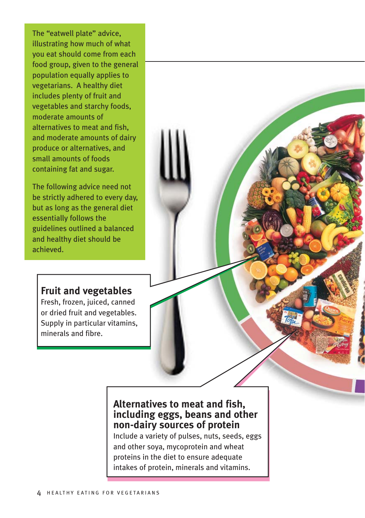The "eatwell plate" advice, illustrating how much of what you eat should come from each food group, given to the general population equally applies to vegetarians. A healthy diet includes plenty of fruit and vegetables and starchy foods, moderate amounts of alternatives to meat and fish, and moderate amounts of dairy produce or alternatives, and small amounts of foods containing fat and sugar.

The following advice need not be strictly adhered to every day, but as long as the general diet essentially follows the guidelines outlined a balanced and healthy diet should be achieved.

## **Fruit and vegetables**

Fresh, frozen, juiced, canned or dried fruit and vegetables. Supply in particular vitamins, minerals and fibre.

## **Alternatives to meat and fish, including eggs, beans and other non-dairy sources of protein**

Include a variety of pulses, nuts, seeds, eggs and other soya, mycoprotein and wheat proteins in the diet to ensure adequate intakes of protein, minerals and vitamins.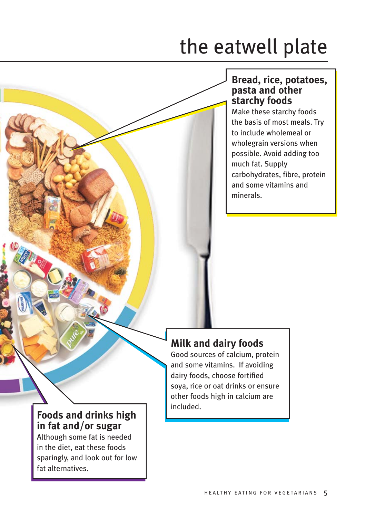# the eatwell plate

## **Bread, rice, potatoes, pasta and other starchy foods**

Make these starchy foods the basis of most meals. Try to include wholemeal or wholegrain versions when possible. Avoid adding too much fat. Supply carbohydrates, fibre, protein and some vitamins and minerals.

# **Milk and dairy foods**

Good sources of calcium, protein and some vitamins. If avoiding dairy foods, choose fortified soya, rice or oat drinks or ensure other foods high in calcium are included.

# **Foods and drinks high in fat and/or sugar**

Although some fat is needed in the diet, eat these foods sparingly, and look out for low fat alternatives.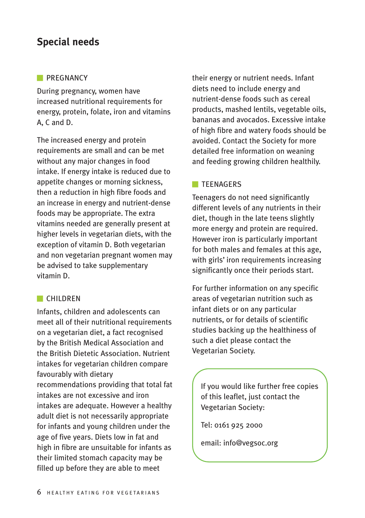# **Special needs**

#### **PREGNANCY**

During pregnancy, women have increased nutritional requirements for energy, protein, folate, iron and vitamins A, C and D.

The increased energy and protein requirements are small and can be met without any major changes in food intake. If energy intake is reduced due to appetite changes or morning sickness, then a reduction in high fibre foods and an increase in energy and nutrient-dense foods may be appropriate. The extra vitamins needed are generally present at higher levels in vegetarian diets, with the exception of vitamin D. Both vegetarian and non vegetarian pregnant women may be advised to take supplementary vitamin D.

### **CHILDREN**

Infants, children and adolescents can meet all of their nutritional requirements on a vegetarian diet, a fact recognised by the British Medical Association and the British Dietetic Association. Nutrient intakes for vegetarian children compare favourably with dietary recommendations providing that total fat intakes are not excessive and iron intakes are adequate. However a healthy adult diet is not necessarily appropriate for infants and young children under the age of five years. Diets low in fat and high in fibre are unsuitable for infants as their limited stomach capacity may be filled up before they are able to meet

their energy or nutrient needs. Infant diets need to include energy and nutrient-dense foods such as cereal products, mashed lentils, vegetable oils, bananas and avocados. Excessive intake of high fibre and watery foods should be avoided. Contact the Society for more detailed free information on weaning and feeding growing children healthily.

## **TEENAGERS**

Teenagers do not need significantly different levels of any nutrients in their diet, though in the late teens slightly more energy and protein are required. However iron is particularly important for both males and females at this age, with girls' iron requirements increasing significantly once their periods start.

For further information on any specific areas of vegetarian nutrition such as infant diets or on any particular nutrients, or for details of scientific studies backing up the healthiness of such a diet please contact the Vegetarian Society.

If you would like further free copies of this leaflet, just contact the Vegetarian Society:

Tel: 0161 925 2000

email: info@vegsoc.org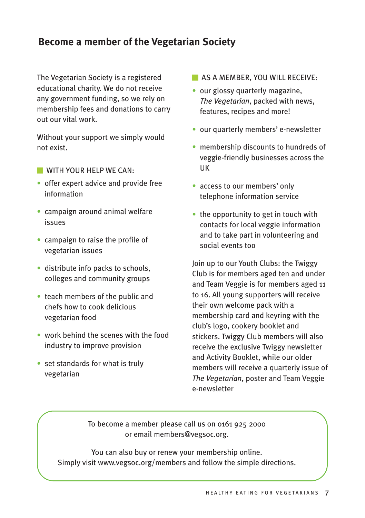# **Become a member of the Vegetarian Society**

The Vegetarian Society is a registered educational charity. We do not receive any government funding, so we rely on membership fees and donations to carry out our vital work.

Without your support we simply would not exist.

- **WITH YOUR HELP WE CAN:**
- offer expert advice and provide free information
- campaign around animal welfare issues
- campaign to raise the profile of vegetarian issues
- distribute info packs to schools. colleges and community groups
- teach members of the public and chefs how to cook delicious vegetarian food
- work behind the scenes with the food industry to improve provision
- set standards for what is truly vegetarian
- **AS A MEMBER, YOU WILL RECEIVE:**
- our glossy quarterly magazine, *The Vegetarian*, packed with news, features, recipes and more!
- our quarterly members' e-newsletter
- membership discounts to hundreds of veggie-friendly businesses across the UK
- access to our members' only telephone information service
- the opportunity to get in touch with contacts for local veggie information and to take part in volunteering and social events too

Join up to our Youth Clubs: the Twiggy Club is for members aged ten and under and Team Veggie is for members aged 11 to 16. All young supporters will receive their own welcome pack with a membership card and keyring with the club's logo, cookery booklet and stickers. Twiggy Club members will also receive the exclusive Twiggy newsletter and Activity Booklet, while our older members will receive a quarterly issue of *The Vegetarian*, poster and Team Veggie e-newsletter

To become a member please call us on 0161 925 2000 or email members@vegsoc.org.

You can also buy or renew your membership online. Simply visit www.vegsoc.org/members and follow the simple directions.